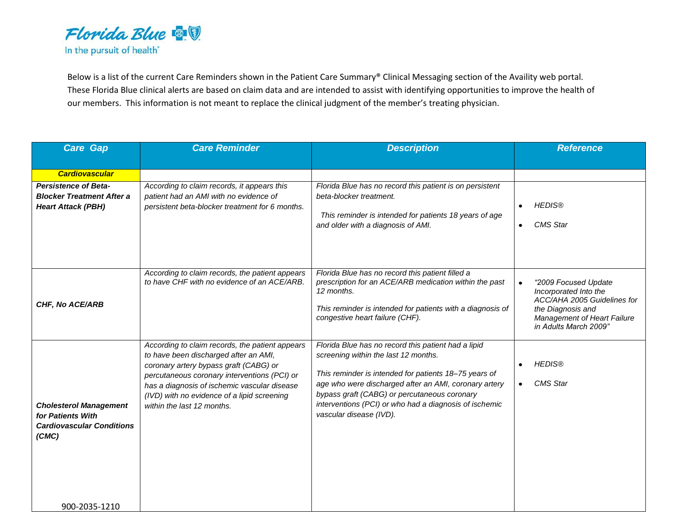

Below is a list of the current Care Reminders shown in the Patient Care Summary® Clinical Messaging section of the Availity web portal. These Florida Blue clinical alerts are based on claim data and are intended to assist with identifying opportunities to improve the health of our members. This information is not meant to replace the clinical judgment of the member's treating physician.

| <b>Care Gap</b>                                                                                 | <b>Care Reminder</b>                                                                                                                                                                                                                                                                                            | <b>Description</b>                                                                                                                                                                                                                                                                                                                                 | <b>Reference</b>                                                                                                                                                       |
|-------------------------------------------------------------------------------------------------|-----------------------------------------------------------------------------------------------------------------------------------------------------------------------------------------------------------------------------------------------------------------------------------------------------------------|----------------------------------------------------------------------------------------------------------------------------------------------------------------------------------------------------------------------------------------------------------------------------------------------------------------------------------------------------|------------------------------------------------------------------------------------------------------------------------------------------------------------------------|
|                                                                                                 |                                                                                                                                                                                                                                                                                                                 |                                                                                                                                                                                                                                                                                                                                                    |                                                                                                                                                                        |
| <b>Cardiovascular</b>                                                                           |                                                                                                                                                                                                                                                                                                                 |                                                                                                                                                                                                                                                                                                                                                    |                                                                                                                                                                        |
| <b>Persistence of Beta-</b><br><b>Blocker Treatment After a</b><br><b>Heart Attack (PBH)</b>    | According to claim records, it appears this<br>patient had an AMI with no evidence of<br>persistent beta-blocker treatment for 6 months.                                                                                                                                                                        | Florida Blue has no record this patient is on persistent<br>beta-blocker treatment.<br>This reminder is intended for patients 18 years of age<br>and older with a diagnosis of AMI.                                                                                                                                                                | <b>HEDIS®</b><br>$\bullet$<br><b>CMS</b> Star<br>$\bullet$                                                                                                             |
| CHF, No ACE/ARB                                                                                 | According to claim records, the patient appears<br>to have CHF with no evidence of an ACE/ARB.                                                                                                                                                                                                                  | Florida Blue has no record this patient filled a<br>prescription for an ACE/ARB medication within the past<br>12 months.<br>This reminder is intended for patients with a diagnosis of<br>congestive heart failure (CHF).                                                                                                                          | "2009 Focused Update<br>$\bullet$<br>Incorporated Into the<br>ACC/AHA 2005 Guidelines for<br>the Diagnosis and<br>Management of Heart Failure<br>in Adults March 2009" |
| <b>Cholesterol Management</b><br>for Patients With<br><b>Cardiovascular Conditions</b><br>(CMC) | According to claim records, the patient appears<br>to have been discharged after an AMI,<br>coronary artery bypass graft (CABG) or<br>percutaneous coronary interventions (PCI) or<br>has a diagnosis of ischemic vascular disease<br>(IVD) with no evidence of a lipid screening<br>within the last 12 months. | Florida Blue has no record this patient had a lipid<br>screening within the last 12 months.<br>This reminder is intended for patients 18-75 years of<br>age who were discharged after an AMI, coronary artery<br>bypass graft (CABG) or percutaneous coronary<br>interventions (PCI) or who had a diagnosis of ischemic<br>vascular disease (IVD). | <b>HEDIS®</b><br>$\bullet$<br><b>CMS</b> Star<br>$\bullet$                                                                                                             |
| 900-2035-1210                                                                                   |                                                                                                                                                                                                                                                                                                                 |                                                                                                                                                                                                                                                                                                                                                    |                                                                                                                                                                        |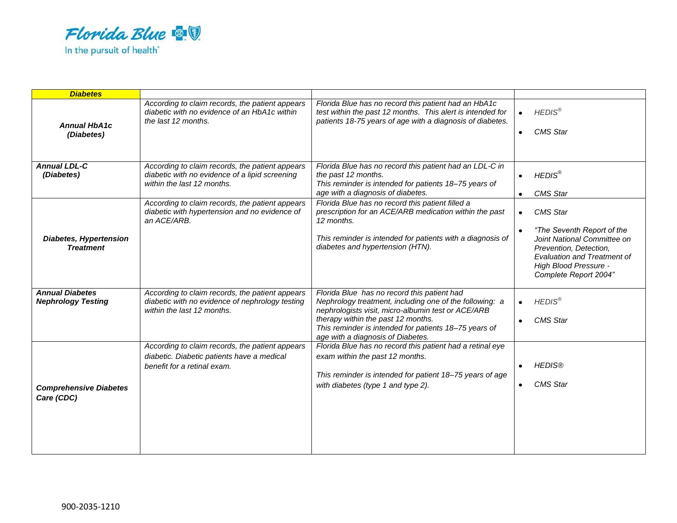

| <b>Diabetes</b>                                     |                                                                                                                                  |                                                                                                                                                                                                                                                                                                  |                                                                                                                                                                                                                          |
|-----------------------------------------------------|----------------------------------------------------------------------------------------------------------------------------------|--------------------------------------------------------------------------------------------------------------------------------------------------------------------------------------------------------------------------------------------------------------------------------------------------|--------------------------------------------------------------------------------------------------------------------------------------------------------------------------------------------------------------------------|
| <b>Annual HbA1c</b><br>(Diabetes)                   | According to claim records, the patient appears<br>diabetic with no evidence of an HbA1c within<br>the last 12 months.           | Florida Blue has no record this patient had an HbA1c<br>test within the past 12 months. This alert is intended for<br>patients 18-75 years of age with a diagnosis of diabetes.                                                                                                                  | <b>HEDIS®</b><br>$\bullet$<br><b>CMS</b> Star<br>$\bullet$                                                                                                                                                               |
| <b>Annual LDL-C</b><br>(Diabetes)                   | According to claim records, the patient appears<br>diabetic with no evidence of a lipid screening<br>within the last 12 months.  | Florida Blue has no record this patient had an LDL-C in<br>the past 12 months.<br>This reminder is intended for patients 18-75 years of<br>age with a diagnosis of diabetes.                                                                                                                     | <b>HEDIS®</b><br>$\bullet$<br><b>CMS Star</b>                                                                                                                                                                            |
| <b>Diabetes, Hypertension</b><br><b>Treatment</b>   | According to claim records, the patient appears<br>diabetic with hypertension and no evidence of<br>an ACE/ARB.                  | Florida Blue has no record this patient filled a<br>prescription for an ACE/ARB medication within the past<br>12 months.<br>This reminder is intended for patients with a diagnosis of<br>diabetes and hypertension (HTN).                                                                       | <b>CMS Star</b><br>$\bullet$<br>"The Seventh Report of the<br>$\bullet$<br>Joint National Committee on<br>Prevention, Detection,<br><b>Evaluation and Treatment of</b><br>High Blood Pressure -<br>Complete Report 2004" |
| <b>Annual Diabetes</b><br><b>Nephrology Testing</b> | According to claim records, the patient appears<br>diabetic with no evidence of nephrology testing<br>within the last 12 months. | Florida Blue has no record this patient had<br>Nephrology treatment, including one of the following: a<br>nephrologists visit, micro-albumin test or ACE/ARB<br>therapy within the past 12 months.<br>This reminder is intended for patients 18-75 years of<br>age with a diagnosis of Diabetes. | HEDIS <sup>®</sup><br>$\bullet$<br><b>CMS</b> Star<br>$\bullet$                                                                                                                                                          |
| <b>Comprehensive Diabetes</b><br>Care (CDC)         | According to claim records, the patient appears<br>diabetic. Diabetic patients have a medical<br>benefit for a retinal exam.     | Florida Blue has no record this patient had a retinal eye<br>exam within the past 12 months.<br>This reminder is intended for patient 18-75 years of age<br>with diabetes (type 1 and type 2).                                                                                                   | <b>HEDIS®</b><br>$\bullet$<br><b>CMS</b> Star<br>$\bullet$                                                                                                                                                               |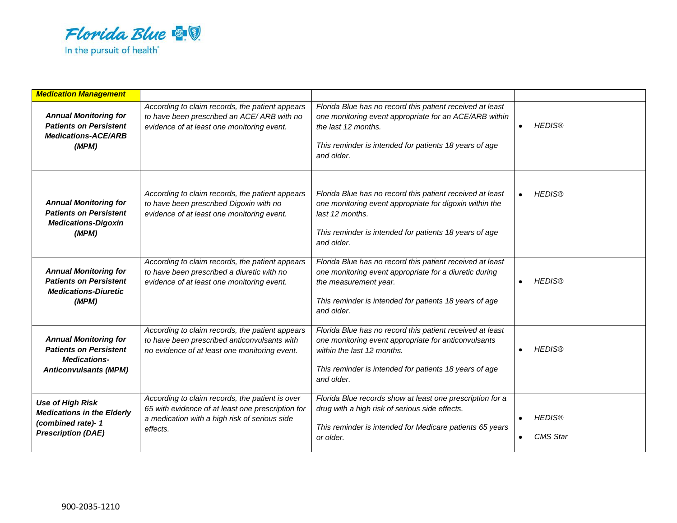

| <b>Medication Management</b>                                                                                         |                                                                                                                                                                   |                                                                                                                                                                                                                         |                                  |
|----------------------------------------------------------------------------------------------------------------------|-------------------------------------------------------------------------------------------------------------------------------------------------------------------|-------------------------------------------------------------------------------------------------------------------------------------------------------------------------------------------------------------------------|----------------------------------|
| <b>Annual Monitoring for</b><br><b>Patients on Persistent</b><br><b>Medications-ACE/ARB</b><br>(MPM)                 | According to claim records, the patient appears<br>to have been prescribed an ACE/ARB with no<br>evidence of at least one monitoring event.                       | Florida Blue has no record this patient received at least<br>one monitoring event appropriate for an ACE/ARB within<br>the last 12 months.<br>This reminder is intended for patients 18 years of age<br>and older.      | <b>HEDIS®</b><br>$\bullet$       |
| <b>Annual Monitoring for</b><br><b>Patients on Persistent</b><br><b>Medications-Digoxin</b><br>(MPM)                 | According to claim records, the patient appears<br>to have been prescribed Digoxin with no<br>evidence of at least one monitoring event.                          | Florida Blue has no record this patient received at least<br>one monitoring event appropriate for digoxin within the<br>last 12 months.<br>This reminder is intended for patients 18 years of age<br>and older.         | <b>HEDIS®</b>                    |
| <b>Annual Monitoring for</b><br><b>Patients on Persistent</b><br><b>Medications-Diuretic</b><br>(MPM)                | According to claim records, the patient appears<br>to have been prescribed a diuretic with no<br>evidence of at least one monitoring event.                       | Florida Blue has no record this patient received at least<br>one monitoring event appropriate for a diuretic during<br>the measurement year.<br>This reminder is intended for patients 18 years of age<br>and older.    | <b>HEDIS®</b><br>$\bullet$       |
| <b>Annual Monitoring for</b><br><b>Patients on Persistent</b><br><b>Medications-</b><br><b>Anticonvulsants (MPM)</b> | According to claim records, the patient appears<br>to have been prescribed anticonvulsants with<br>no evidence of at least one monitoring event.                  | Florida Blue has no record this patient received at least<br>one monitoring event appropriate for anticonvulsants<br>within the last 12 months.<br>This reminder is intended for patients 18 years of age<br>and older. | <b>HEDIS®</b><br>$\bullet$       |
| <b>Use of High Risk</b><br><b>Medications in the Elderly</b><br>(combined rate)-1<br><b>Prescription (DAE)</b>       | According to claim records, the patient is over<br>65 with evidence of at least one prescription for<br>a medication with a high risk of serious side<br>effects. | Florida Blue records show at least one prescription for a<br>drug with a high risk of serious side effects.<br>This reminder is intended for Medicare patients 65 years<br>or older.                                    | <b>HEDIS®</b><br><b>CMS</b> Star |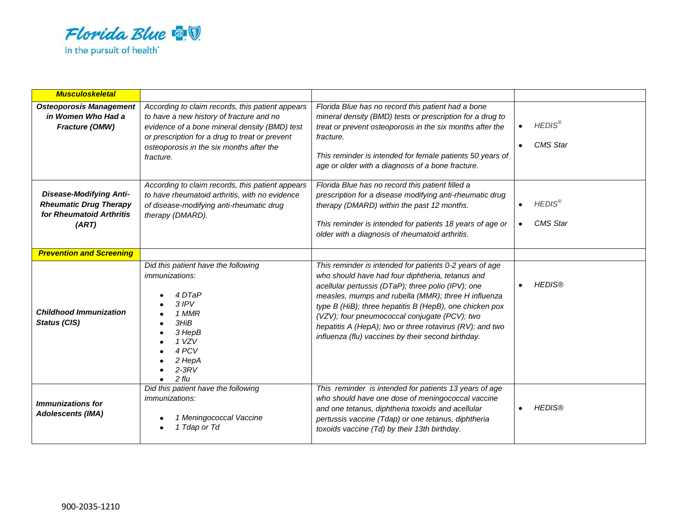

| <b>Musculoskeletal</b>                                                                               |                                                                                                                                                                                                                                                          |                                                                                                                                                                                                                                                                                                                                                                                                                                                        |                                               |
|------------------------------------------------------------------------------------------------------|----------------------------------------------------------------------------------------------------------------------------------------------------------------------------------------------------------------------------------------------------------|--------------------------------------------------------------------------------------------------------------------------------------------------------------------------------------------------------------------------------------------------------------------------------------------------------------------------------------------------------------------------------------------------------------------------------------------------------|-----------------------------------------------|
| <b>Osteoporosis Management</b><br>in Women Who Had a<br>Fracture (OMW)                               | According to claim records, this patient appears<br>to have a new history of fracture and no<br>evidence of a bone mineral density (BMD) test<br>or prescription for a drug to treat or prevent<br>osteoporosis in the six months after the<br>fracture. | Florida Blue has no record this patient had a bone<br>mineral density (BMD) tests or prescription for a drug to<br>treat or prevent osteoporosis in the six months after the<br>fracture.<br>This reminder is intended for female patients 50 years of<br>age or older with a diagnosis of a bone fracture.                                                                                                                                            | <b>HEDIS®</b><br><b>CMS</b> Star<br>$\bullet$ |
| <b>Disease-Modifying Anti-</b><br><b>Rheumatic Drug Therapy</b><br>for Rheumatoid Arthritis<br>(ART) | According to claim records, this patient appears<br>to have rheumatoid arthritis, with no evidence<br>of disease-modifying anti-rheumatic drug<br>therapy (DMARD).                                                                                       | Florida Blue has no record this patient filled a<br>prescription for a disease modifying anti-rheumatic drug<br>therapy (DMARD) within the past 12 months.<br>This reminder is intended for patients 18 years of age or<br>older with a diagnosis of rheumatoid arthritis.                                                                                                                                                                             | <b>HEDIS®</b><br>$\bullet$<br><b>CMS Star</b> |
| <b>Prevention and Screening</b>                                                                      |                                                                                                                                                                                                                                                          |                                                                                                                                                                                                                                                                                                                                                                                                                                                        |                                               |
| <b>Childhood Immunization</b><br><b>Status (CIS)</b>                                                 | Did this patient have the following<br><i>immunizations:</i><br>4 DTaP<br>$3$ IPV<br>1 MMR<br>3HiB<br>3 HepB<br>1 VZV<br>4 PCV<br>2 HepA<br>$2-3RV$<br>$2$ flu                                                                                           | This reminder is intended for patients 0-2 years of age<br>who should have had four diphtheria, tetanus and<br>acellular pertussis (DTaP); three polio (IPV); one<br>measles, mumps and rubella (MMR); three H influenza<br>type B (HiB); three hepatitis B (HepB), one chicken pox<br>(VZV); four pneumococcal conjugate (PCV); two<br>hepatitis A (HepA); two or three rotavirus (RV); and two<br>influenza (flu) vaccines by their second birthday. | <b>HEDIS®</b><br>$\bullet$                    |
| <b>Immunizations for</b><br><b>Adolescents (IMA)</b>                                                 | Did this patient have the following<br><i>immunizations:</i><br>1 Meningococcal Vaccine<br>1 Tdap or Td                                                                                                                                                  | This reminder is intended for patients 13 years of age<br>who should have one dose of meningococcal vaccine<br>and one tetanus, diphtheria toxoids and acellular<br>pertussis vaccine (Tdap) or one tetanus, diphtheria<br>toxoids vaccine (Td) by their 13th birthday.                                                                                                                                                                                | <b>HEDIS®</b><br>$\bullet$                    |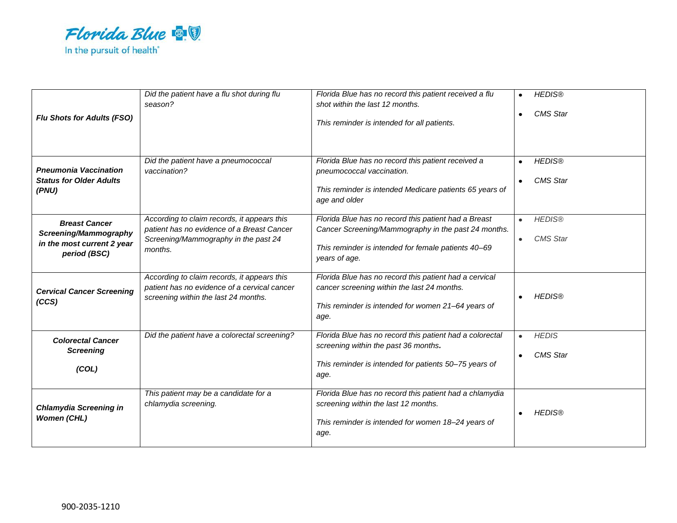

| <b>Flu Shots for Adults (FSO)</b>                                                           | Did the patient have a flu shot during flu<br>season?                                                                                        | Florida Blue has no record this patient received a flu<br>shot within the last 12 months.<br>This reminder is intended for all patients.                                            | <b>HEDIS®</b><br><b>CMS</b> Star<br>$\bullet$ |
|---------------------------------------------------------------------------------------------|----------------------------------------------------------------------------------------------------------------------------------------------|-------------------------------------------------------------------------------------------------------------------------------------------------------------------------------------|-----------------------------------------------|
| <b>Pneumonia Vaccination</b><br><b>Status for Older Adults</b><br>(PNU)                     | Did the patient have a pneumococcal<br>vaccination?                                                                                          | Florida Blue has no record this patient received a<br>pneumococcal vaccination.<br>This reminder is intended Medicare patients 65 years of<br>age and older                         | <b>HEDIS®</b><br><b>CMS</b> Star              |
| <b>Breast Cancer</b><br>Screening/Mammography<br>in the most current 2 year<br>period (BSC) | According to claim records, it appears this<br>patient has no evidence of a Breast Cancer<br>Screening/Mammography in the past 24<br>months. | Florida Blue has no record this patient had a Breast<br>Cancer Screening/Mammography in the past 24 months.<br>This reminder is intended for female patients 40-69<br>years of age. | <b>HEDIS®</b><br><b>CMS</b> Star<br>$\bullet$ |
| <b>Cervical Cancer Screening</b><br>(CCS)                                                   | According to claim records, it appears this<br>patient has no evidence of a cervical cancer<br>screening within the last 24 months.          | Florida Blue has no record this patient had a cervical<br>cancer screening within the last 24 months.<br>This reminder is intended for women 21-64 years of<br>age.                 | <b>HEDIS®</b>                                 |
| <b>Colorectal Cancer</b><br><b>Screening</b><br>(COL)                                       | Did the patient have a colorectal screening?                                                                                                 | Florida Blue has no record this patient had a colorectal<br>screening within the past 36 months.<br>This reminder is intended for patients 50-75 years of<br>age.                   | <b>HEDIS</b><br>$\bullet$<br><b>CMS</b> Star  |
| <b>Chlamydia Screening in</b><br><b>Women (CHL)</b>                                         | This patient may be a candidate for a<br>chlamydia screening.                                                                                | Florida Blue has no record this patient had a chlamydia<br>screening within the last 12 months.<br>This reminder is intended for women 18-24 years of<br>age.                       | <b>HEDIS®</b>                                 |